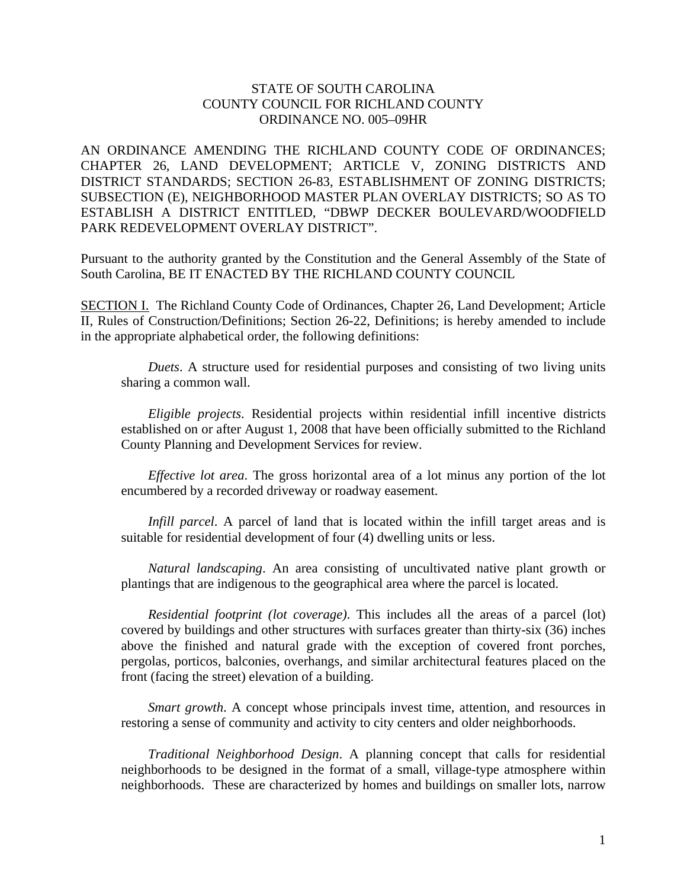## STATE OF SOUTH CAROLINA COUNTY COUNCIL FOR RICHLAND COUNTY ORDINANCE NO. 005–09HR

AN ORDINANCE AMENDING THE RICHLAND COUNTY CODE OF ORDINANCES; CHAPTER 26, LAND DEVELOPMENT; ARTICLE V, ZONING DISTRICTS AND DISTRICT STANDARDS; SECTION 26-83, ESTABLISHMENT OF ZONING DISTRICTS; SUBSECTION (E), NEIGHBORHOOD MASTER PLAN OVERLAY DISTRICTS; SO AS TO ESTABLISH A DISTRICT ENTITLED, "DBWP DECKER BOULEVARD/WOODFIELD PARK REDEVELOPMENT OVERLAY DISTRICT".

Pursuant to the authority granted by the Constitution and the General Assembly of the State of South Carolina, BE IT ENACTED BY THE RICHLAND COUNTY COUNCIL

SECTION I. The Richland County Code of Ordinances, Chapter 26, Land Development; Article II, Rules of Construction/Definitions; Section 26-22, Definitions; is hereby amended to include in the appropriate alphabetical order, the following definitions:

*Duets*. A structure used for residential purposes and consisting of two living units sharing a common wall.

*Eligible projects*. Residential projects within residential infill incentive districts established on or after August 1, 2008 that have been officially submitted to the Richland County Planning and Development Services for review.

*Effective lot area*. The gross horizontal area of a lot minus any portion of the lot encumbered by a recorded driveway or roadway easement.

*Infill parcel*. A parcel of land that is located within the infill target areas and is suitable for residential development of four (4) dwelling units or less.

*Natural landscaping*. An area consisting of uncultivated native plant growth or plantings that are indigenous to the geographical area where the parcel is located.

*Residential footprint (lot coverage)*. This includes all the areas of a parcel (lot) covered by buildings and other structures with surfaces greater than thirty-six (36) inches above the finished and natural grade with the exception of covered front porches, pergolas, porticos, balconies, overhangs, and similar architectural features placed on the front (facing the street) elevation of a building.

*Smart growth*. A concept whose principals invest time, attention, and resources in restoring a sense of community and activity to city centers and older neighborhoods.

*Traditional Neighborhood Design*. A planning concept that calls for residential neighborhoods to be designed in the format of a small, village-type atmosphere within neighborhoods. These are characterized by homes and buildings on smaller lots, narrow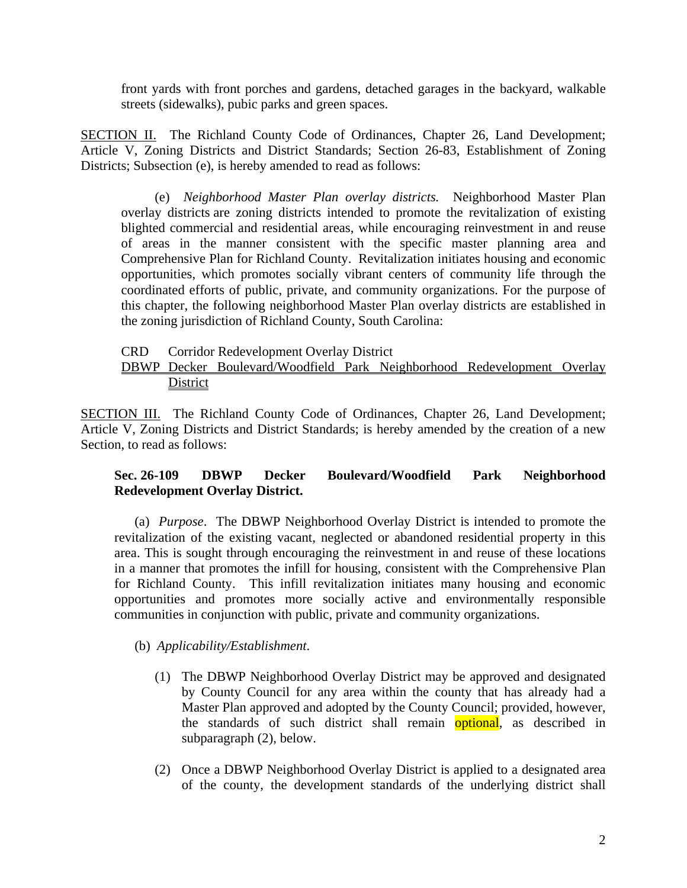front yards with front porches and gardens, detached garages in the backyard, walkable streets (sidewalks), pubic parks and green spaces.

SECTION II. The Richland County Code of Ordinances, Chapter 26, Land Development; Article V, Zoning Districts and District Standards; Section 26-83, Establishment of Zoning Districts; Subsection (e), is hereby amended to read as follows:

(e) *Neighborhood Master Plan overlay districts.* Neighborhood Master Plan overlay districts are zoning districts intended to promote the revitalization of existing blighted commercial and residential areas, while encouraging reinvestment in and reuse of areas in the manner consistent with the specific master planning area and Comprehensive Plan for Richland County. Revitalization initiates housing and economic opportunities, which promotes socially vibrant centers of community life through the coordinated efforts of public, private, and community organizations. For the purpose of this chapter, the following neighborhood Master Plan overlay districts are established in the zoning jurisdiction of Richland County, South Carolina:

#### CRD Corridor Redevelopment Overlay District DBWP Decker Boulevard/Woodfield Park Neighborhood Redevelopment Overlay **District**

SECTION III. The Richland County Code of Ordinances, Chapter 26, Land Development; Article V, Zoning Districts and District Standards; is hereby amended by the creation of a new Section, to read as follows:

# **Sec. 26-109 DBWP Decker Boulevard/Woodfield Park Neighborhood Redevelopment Overlay District.**

(a) *Purpose*. The DBWP Neighborhood Overlay District is intended to promote the revitalization of the existing vacant, neglected or abandoned residential property in this area. This is sought through encouraging the reinvestment in and reuse of these locations in a manner that promotes the infill for housing, consistent with the Comprehensive Plan for Richland County. This infill revitalization initiates many housing and economic opportunities and promotes more socially active and environmentally responsible communities in conjunction with public, private and community organizations.

# (b) *Applicability/Establishment*.

- (1) The DBWP Neighborhood Overlay District may be approved and designated by County Council for any area within the county that has already had a Master Plan approved and adopted by the County Council; provided, however, the standards of such district shall remain **optional**, as described in subparagraph (2), below.
- (2) Once a DBWP Neighborhood Overlay District is applied to a designated area of the county, the development standards of the underlying district shall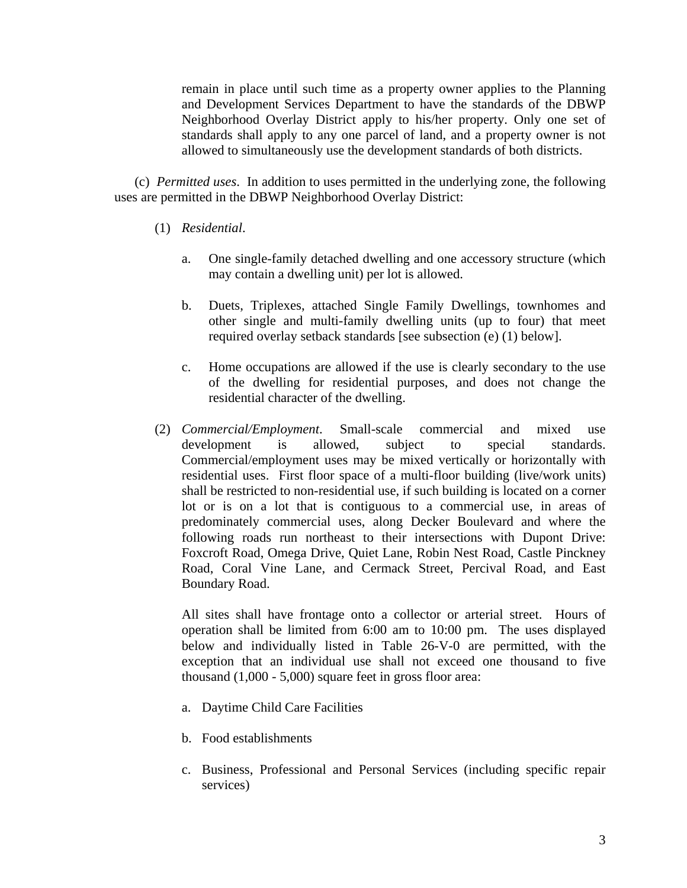remain in place until such time as a property owner applies to the Planning and Development Services Department to have the standards of the DBWP Neighborhood Overlay District apply to his/her property. Only one set of standards shall apply to any one parcel of land, and a property owner is not allowed to simultaneously use the development standards of both districts.

(c) *Permitted uses*. In addition to uses permitted in the underlying zone, the following uses are permitted in the DBWP Neighborhood Overlay District:

- (1) *Residential*.
	- a. One single-family detached dwelling and one accessory structure (which may contain a dwelling unit) per lot is allowed.
	- b. Duets, Triplexes, attached Single Family Dwellings, townhomes and other single and multi-family dwelling units (up to four) that meet required overlay setback standards [see subsection (e) (1) below].
	- c. Home occupations are allowed if the use is clearly secondary to the use of the dwelling for residential purposes, and does not change the residential character of the dwelling.
- (2) *Commercial/Employment*. Small-scale commercial and mixed use development is allowed, subject to special standards. Commercial/employment uses may be mixed vertically or horizontally with residential uses. First floor space of a multi-floor building (live/work units) shall be restricted to non-residential use, if such building is located on a corner lot or is on a lot that is contiguous to a commercial use, in areas of predominately commercial uses, along Decker Boulevard and where the following roads run northeast to their intersections with Dupont Drive: Foxcroft Road, Omega Drive, Quiet Lane, Robin Nest Road, Castle Pinckney Road, Coral Vine Lane, and Cermack Street, Percival Road, and East Boundary Road.

All sites shall have frontage onto a collector or arterial street. Hours of operation shall be limited from 6:00 am to 10:00 pm. The uses displayed below and individually listed in Table 26-V-0 are permitted, with the exception that an individual use shall not exceed one thousand to five thousand (1,000 - 5,000) square feet in gross floor area:

- a. Daytime Child Care Facilities
- b. Food establishments
- c. Business, Professional and Personal Services (including specific repair services)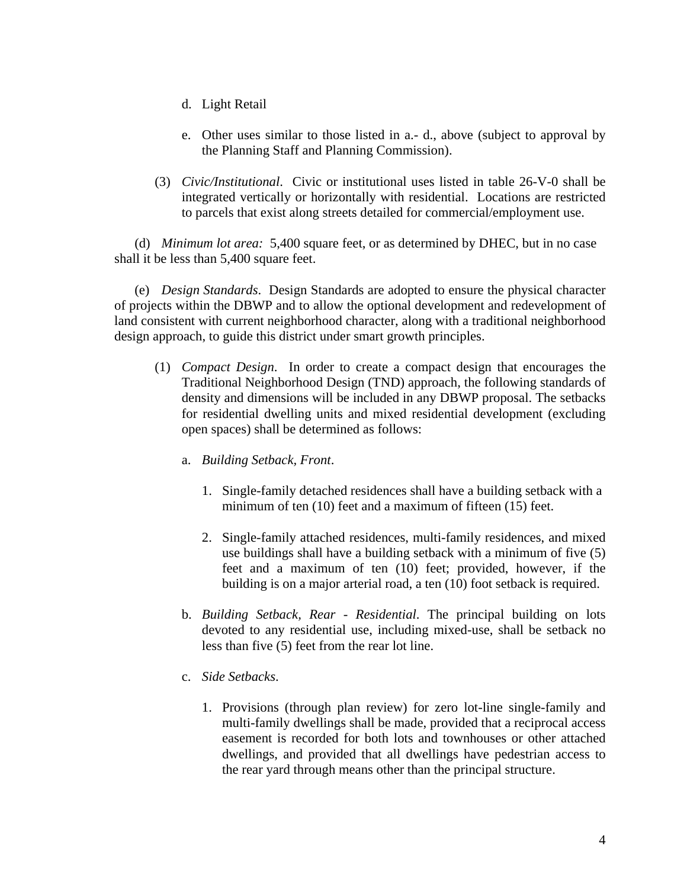- d. Light Retail
- e. Other uses similar to those listed in a.- d., above (subject to approval by the Planning Staff and Planning Commission).
- (3) *Civic/Institutional*. Civic or institutional uses listed in table 26-V-0 shall be integrated vertically or horizontally with residential. Locations are restricted to parcels that exist along streets detailed for commercial/employment use.

(d) *Minimum lot area:* 5,400 square feet, or as determined by DHEC, but in no case shall it be less than 5,400 square feet.

(e) *Design Standards*. Design Standards are adopted to ensure the physical character of projects within the DBWP and to allow the optional development and redevelopment of land consistent with current neighborhood character, along with a traditional neighborhood design approach, to guide this district under smart growth principles.

- (1) *Compact Design*.In order to create a compact design that encourages the Traditional Neighborhood Design (TND) approach, the following standards of density and dimensions will be included in any DBWP proposal. The setbacks for residential dwelling units and mixed residential development (excluding open spaces) shall be determined as follows:
	- a. *Building Setback, Front*.
		- 1. Single-family detached residences shall have a building setback with a minimum of ten (10) feet and a maximum of fifteen (15) feet.
		- 2. Single-family attached residences, multi-family residences, and mixed use buildings shall have a building setback with a minimum of five (5) feet and a maximum of ten (10) feet; provided, however, if the building is on a major arterial road, a ten (10) foot setback is required.
	- b. *Building Setback, Rear Residential*. The principal building on lots devoted to any residential use, including mixed-use, shall be setback no less than five (5) feet from the rear lot line.
	- c. *Side Setbacks*.
		- 1. Provisions (through plan review) for zero lot-line single-family and multi-family dwellings shall be made, provided that a reciprocal access easement is recorded for both lots and townhouses or other attached dwellings, and provided that all dwellings have pedestrian access to the rear yard through means other than the principal structure.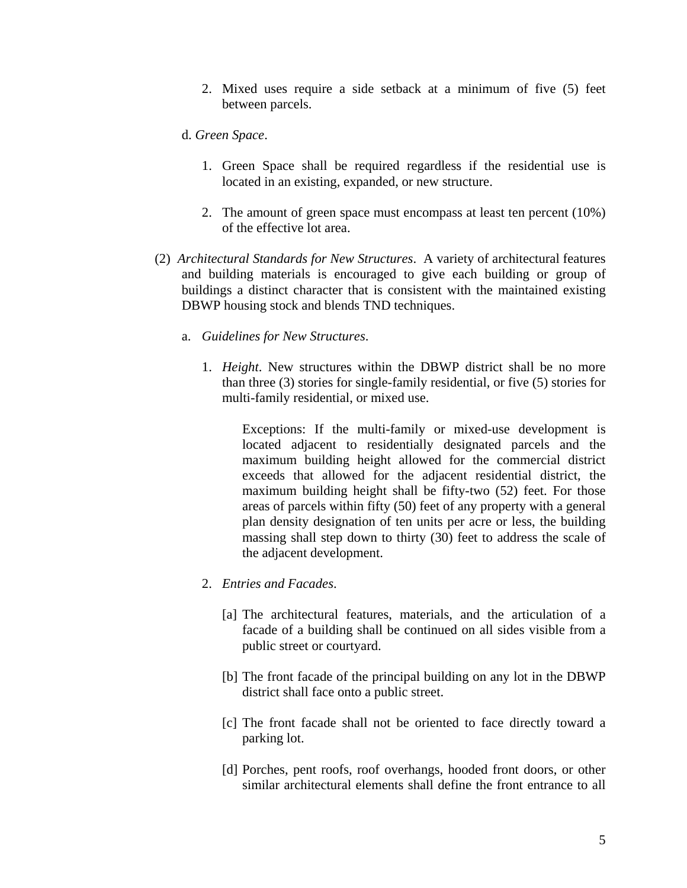2. Mixed uses require a side setback at a minimum of five (5) feet between parcels.

#### d. *Green Space*.

- 1. Green Space shall be required regardless if the residential use is located in an existing, expanded, or new structure.
- 2. The amount of green space must encompass at least ten percent (10%) of the effective lot area.
- (2) *Architectural Standards for New Structures*. A variety of architectural features and building materials is encouraged to give each building or group of buildings a distinct character that is consistent with the maintained existing DBWP housing stock and blends TND techniques.
	- a. *Guidelines for New Structures*.
		- 1. *Height*. New structures within the DBWP district shall be no more than three (3) stories for single-family residential, or five (5) stories for multi-family residential, or mixed use.

Exceptions: If the multi-family or mixed-use development is located adjacent to residentially designated parcels and the maximum building height allowed for the commercial district exceeds that allowed for the adjacent residential district, the maximum building height shall be fifty-two (52) feet. For those areas of parcels within fifty (50) feet of any property with a general plan density designation of ten units per acre or less, the building massing shall step down to thirty (30) feet to address the scale of the adjacent development.

- 2. *Entries and Facades*.
	- [a] The architectural features, materials, and the articulation of a facade of a building shall be continued on all sides visible from a public street or courtyard.
	- [b] The front facade of the principal building on any lot in the DBWP district shall face onto a public street.
	- [c] The front facade shall not be oriented to face directly toward a parking lot.
	- [d] Porches, pent roofs, roof overhangs, hooded front doors, or other similar architectural elements shall define the front entrance to all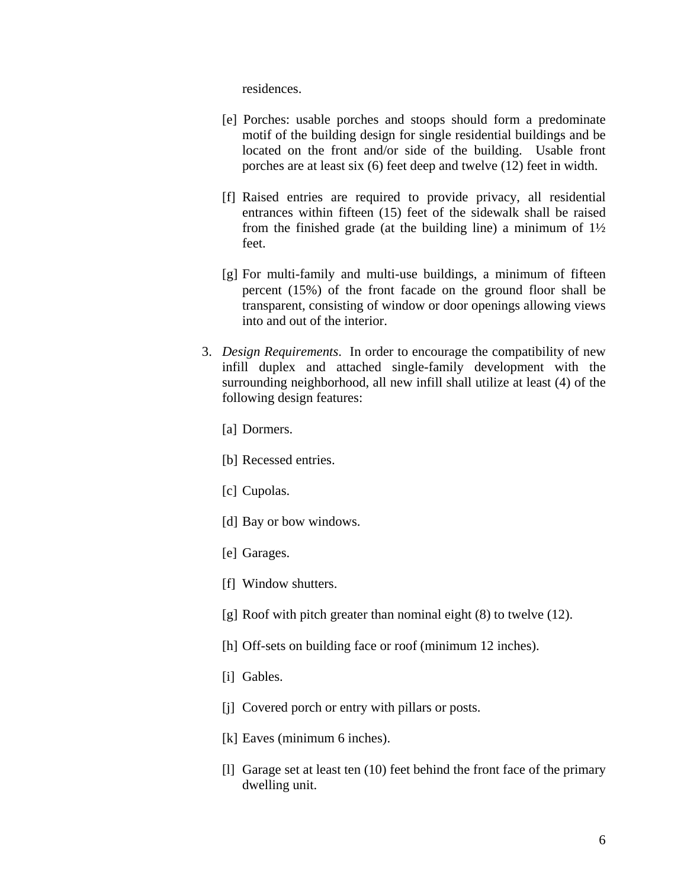residences.

- [e] Porches: usable porches and stoops should form a predominate motif of the building design for single residential buildings and be located on the front and/or side of the building. Usable front porches are at least six (6) feet deep and twelve (12) feet in width.
- [f] Raised entries are required to provide privacy, all residential entrances within fifteen (15) feet of the sidewalk shall be raised from the finished grade (at the building line) a minimum of  $1\frac{1}{2}$ feet.
- [g] For multi-family and multi-use buildings, a minimum of fifteen percent (15%) of the front facade on the ground floor shall be transparent, consisting of window or door openings allowing views into and out of the interior.
- 3. *Design Requirements*. In order to encourage the compatibility of new infill duplex and attached single-family development with the surrounding neighborhood, all new infill shall utilize at least (4) of the following design features:
	- [a] Dormers.
	- [b] Recessed entries.
	- [c] Cupolas.
	- [d] Bay or bow windows.
	- [e] Garages.
	- [f] Window shutters.
	- [g] Roof with pitch greater than nominal eight (8) to twelve (12).
	- [h] Off-sets on building face or roof (minimum 12 inches).
	- [i] Gables.
	- [j] Covered porch or entry with pillars or posts.
	- [k] Eaves (minimum 6 inches).
	- [l] Garage set at least ten (10) feet behind the front face of the primary dwelling unit.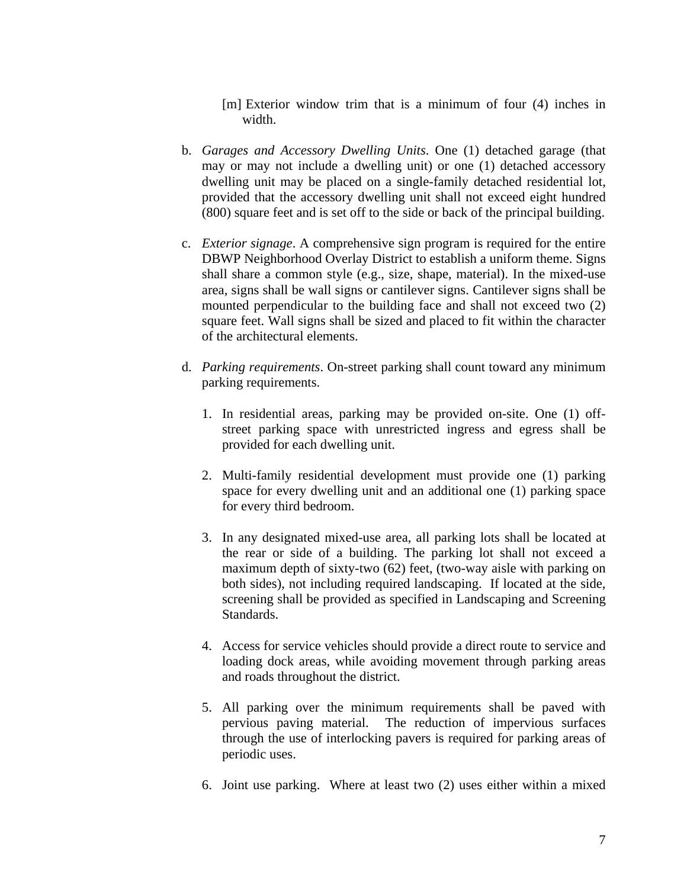[m] Exterior window trim that is a minimum of four (4) inches in width.

- b. *Garages and Accessory Dwelling Units*. One (1) detached garage (that may or may not include a dwelling unit) or one (1) detached accessory dwelling unit may be placed on a single-family detached residential lot, provided that the accessory dwelling unit shall not exceed eight hundred (800) square feet and is set off to the side or back of the principal building.
- c. *Exterior signage*. A comprehensive sign program is required for the entire DBWP Neighborhood Overlay District to establish a uniform theme. Signs shall share a common style (e.g., size, shape, material). In the mixed-use area, signs shall be wall signs or cantilever signs. Cantilever signs shall be mounted perpendicular to the building face and shall not exceed two (2) square feet. Wall signs shall be sized and placed to fit within the character of the architectural elements.
- d. *Parking requirements*. On-street parking shall count toward any minimum parking requirements.
	- 1. In residential areas, parking may be provided on-site. One (1) offstreet parking space with unrestricted ingress and egress shall be provided for each dwelling unit.
	- 2. Multi-family residential development must provide one (1) parking space for every dwelling unit and an additional one (1) parking space for every third bedroom.
	- 3. In any designated mixed-use area, all parking lots shall be located at the rear or side of a building. The parking lot shall not exceed a maximum depth of sixty-two (62) feet, (two-way aisle with parking on both sides), not including required landscaping. If located at the side, screening shall be provided as specified in Landscaping and Screening Standards.
	- 4. Access for service vehicles should provide a direct route to service and loading dock areas, while avoiding movement through parking areas and roads throughout the district.
	- 5. All parking over the minimum requirements shall be paved with pervious paving material. The reduction of impervious surfaces through the use of interlocking pavers is required for parking areas of periodic uses.
	- 6. Joint use parking. Where at least two (2) uses either within a mixed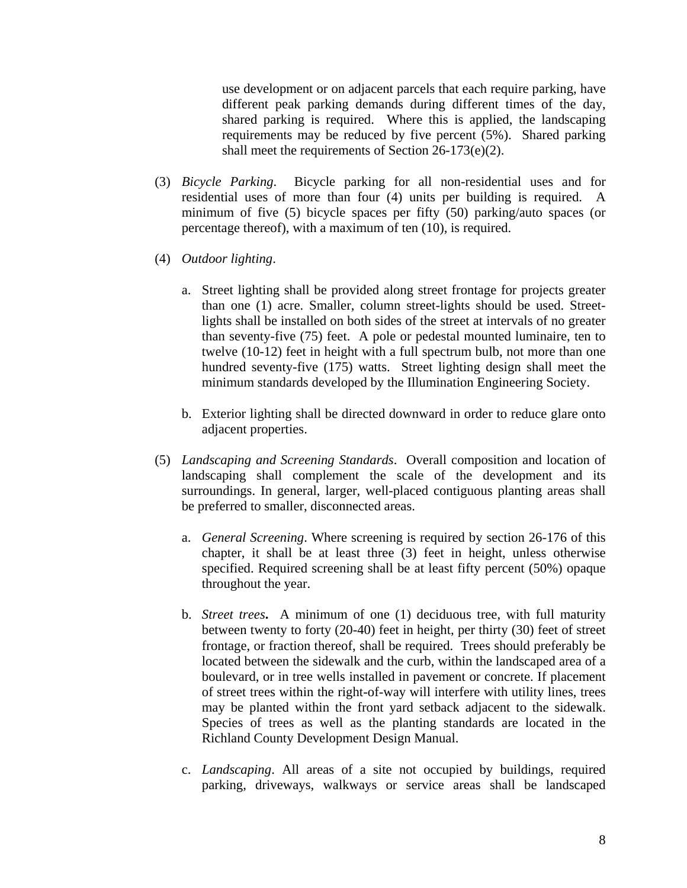use development or on adjacent parcels that each require parking, have different peak parking demands during different times of the day, shared parking is required. Where this is applied, the landscaping requirements may be reduced by five percent (5%). Shared parking shall meet the requirements of Section 26-173(e)(2).

- (3) *Bicycle Parking*. Bicycle parking for all non-residential uses and for residential uses of more than four (4) units per building is required. A minimum of five (5) bicycle spaces per fifty (50) parking/auto spaces (or percentage thereof), with a maximum of ten (10), is required.
- (4) *Outdoor lighting*.
	- a. Street lighting shall be provided along street frontage for projects greater than one (1) acre. Smaller, column street-lights should be used. Streetlights shall be installed on both sides of the street at intervals of no greater than seventy-five (75) feet. A pole or pedestal mounted luminaire, ten to twelve (10-12) feet in height with a full spectrum bulb, not more than one hundred seventy-five (175) watts. Street lighting design shall meet the minimum standards developed by the Illumination Engineering Society.
	- b. Exterior lighting shall be directed downward in order to reduce glare onto adjacent properties.
- (5) *Landscaping and Screening Standards*. Overall composition and location of landscaping shall complement the scale of the development and its surroundings. In general, larger, well-placed contiguous planting areas shall be preferred to smaller, disconnected areas.
	- a. *General Screening*. Where screening is required by section 26-176 of this chapter, it shall be at least three (3) feet in height, unless otherwise specified. Required screening shall be at least fifty percent (50%) opaque throughout the year.
	- b. *Street trees***.** A minimum of one (1) deciduous tree, with full maturity between twenty to forty (20-40) feet in height, per thirty (30) feet of street frontage, or fraction thereof, shall be required. Trees should preferably be located between the sidewalk and the curb, within the landscaped area of a boulevard, or in tree wells installed in pavement or concrete. If placement of street trees within the right-of-way will interfere with utility lines, trees may be planted within the front yard setback adjacent to the sidewalk. Species of trees as well as the planting standards are located in the Richland County Development Design Manual.
	- c. *Landscaping*. All areas of a site not occupied by buildings, required parking, driveways, walkways or service areas shall be landscaped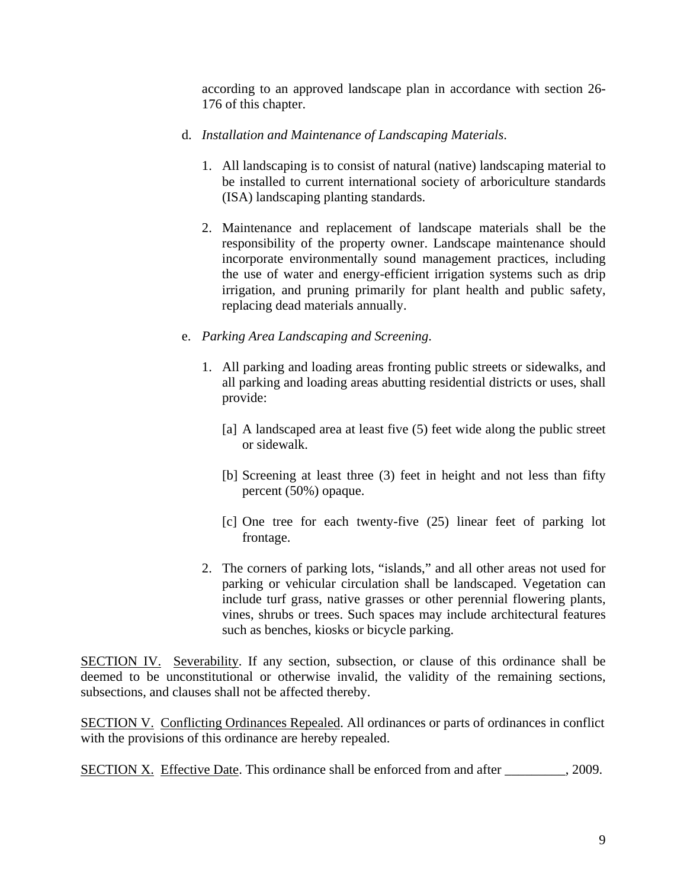according to an approved landscape plan in accordance with section 26- 176 of this chapter.

- d. *Installation and Maintenance of Landscaping Materials*.
	- 1. All landscaping is to consist of natural (native) landscaping material to be installed to current international society of arboriculture standards (ISA) landscaping planting standards.
	- 2. Maintenance and replacement of landscape materials shall be the responsibility of the property owner. Landscape maintenance should incorporate environmentally sound management practices, including the use of water and energy-efficient irrigation systems such as drip irrigation, and pruning primarily for plant health and public safety, replacing dead materials annually.
- e. *Parking Area Landscaping and Screening*.
	- 1. All parking and loading areas fronting public streets or sidewalks, and all parking and loading areas abutting residential districts or uses, shall provide:
		- [a] A landscaped area at least five (5) feet wide along the public street or sidewalk.
		- [b] Screening at least three (3) feet in height and not less than fifty percent (50%) opaque.
		- [c] One tree for each twenty-five (25) linear feet of parking lot frontage.
	- 2. The corners of parking lots, "islands," and all other areas not used for parking or vehicular circulation shall be landscaped. Vegetation can include turf grass, native grasses or other perennial flowering plants, vines, shrubs or trees. Such spaces may include architectural features such as benches, kiosks or bicycle parking.

SECTION IV. Severability. If any section, subsection, or clause of this ordinance shall be deemed to be unconstitutional or otherwise invalid, the validity of the remaining sections, subsections, and clauses shall not be affected thereby.

SECTION V. Conflicting Ordinances Repealed. All ordinances or parts of ordinances in conflict with the provisions of this ordinance are hereby repealed.

SECTION X. Effective Date. This ordinance shall be enforced from and after \_\_\_\_\_\_\_\_\_, 2009.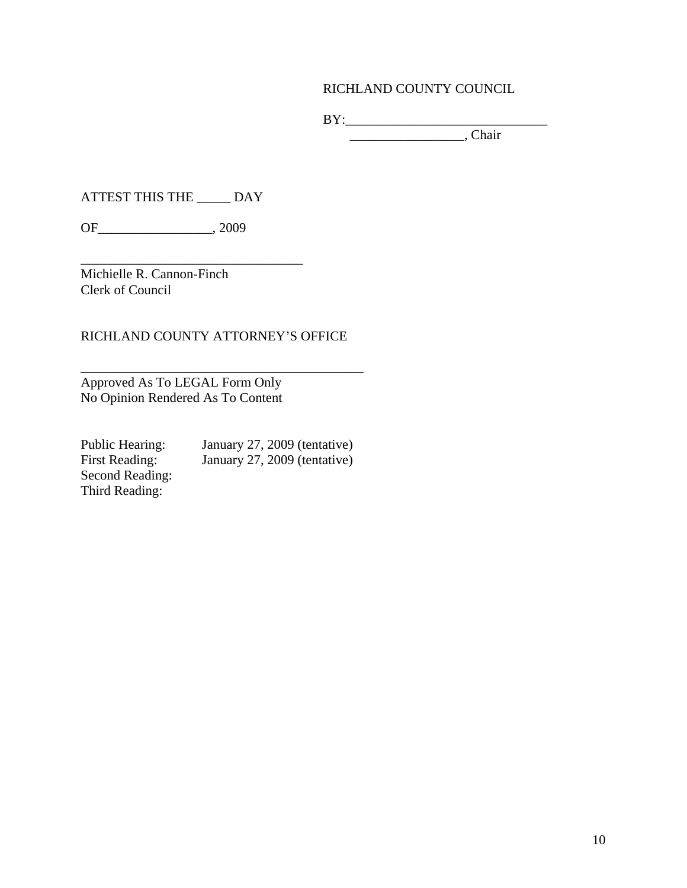# RICHLAND COUNTY COUNCIL

 $BY:$ \_\_\_\_\_\_\_\_\_\_\_\_\_\_\_\_\_, Chair

ATTEST THIS THE \_\_\_\_\_ DAY

\_\_\_\_\_\_\_\_\_\_\_\_\_\_\_\_\_\_\_\_\_\_\_\_\_\_\_\_\_\_\_\_\_

OF\_\_\_\_\_\_\_\_\_\_\_\_\_\_\_\_\_, 2009

Michielle R. Cannon-Finch Clerk of Council

## RICHLAND COUNTY ATTORNEY'S OFFICE

Approved As To LEGAL Form Only No Opinion Rendered As To Content

Second Reading: Third Reading:

Public Hearing: January 27, 2009 (tentative) First Reading: January 27, 2009 (tentative)

 $\frac{1}{2}$